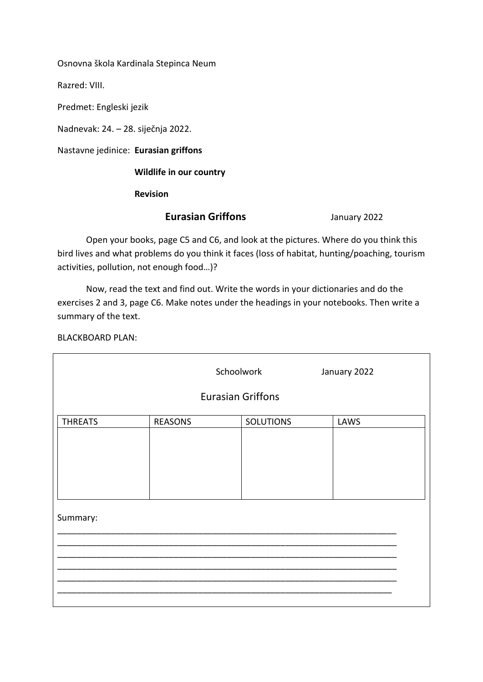Osnovna škola Kardinala Stepinca Neum

Razred: VIII.

Predmet: Engleski jezik

Nadnevak: 24. – 28. siječnja 2022.

Nastavne jedinice: **Eurasian griffons**

 **Wildlife in our country**

 **Revision**

#### **Eurasian Griffons** January 2022

Open your books, page C5 and C6, and look at the pictures. Where do you think this bird lives and what problems do you think it faces (loss of habitat, hunting/poaching, tourism activities, pollution, not enough food…)?

Now, read the text and find out. Write the words in your dictionaries and do the exercises 2 and 3, page C6. Make notes under the headings in your notebooks. Then write a summary of the text.

BLACKBOARD PLAN:

|                | Schoolwork<br><b>Eurasian Griffons</b> |                  | January 2022 |
|----------------|----------------------------------------|------------------|--------------|
|                |                                        |                  |              |
| <b>THREATS</b> | <b>REASONS</b>                         | <b>SOLUTIONS</b> | LAWS         |
|                |                                        |                  |              |
| Summary:       |                                        |                  |              |
|                |                                        |                  |              |
|                |                                        |                  |              |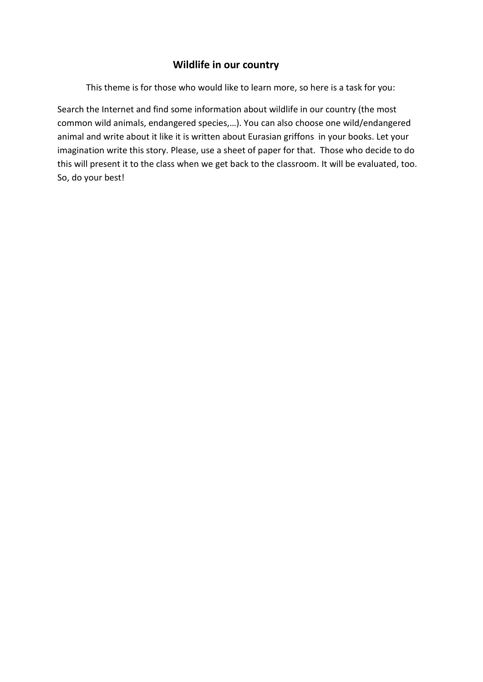### **Wildlife in our country**

This theme is for those who would like to learn more, so here is a task for you:

Search the Internet and find some information about wildlife in our country (the most common wild animals, endangered species,…). You can also choose one wild/endangered animal and write about it like it is written about Eurasian griffons in your books. Let your imagination write this story. Please, use a sheet of paper for that. Those who decide to do this will present it to the class when we get back to the classroom. It will be evaluated, too. So, do your best!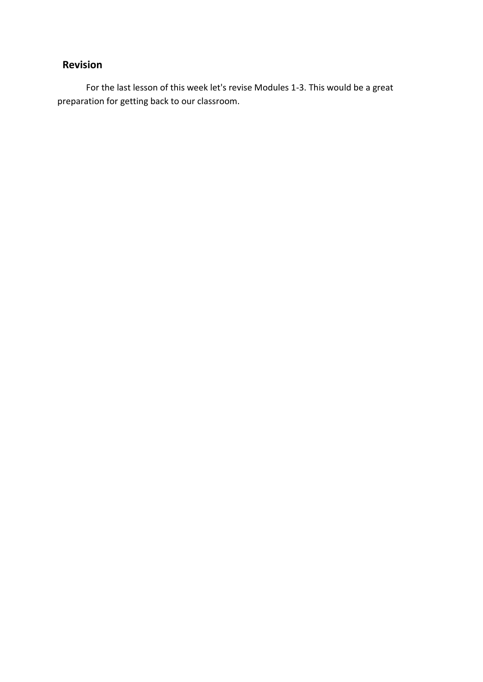## **Revision**

For the last lesson of this week let's revise Modules 1-3. This would be a great preparation for getting back to our classroom.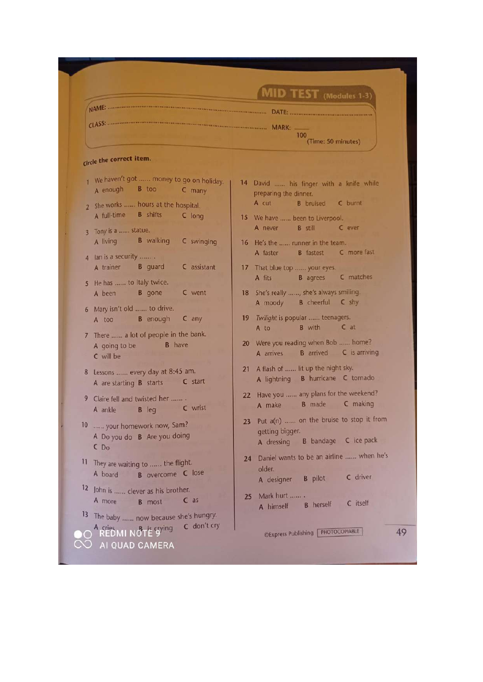|                | MID TEST (Modules 1-3)                                                                        |                                                                                                                   |  |
|----------------|-----------------------------------------------------------------------------------------------|-------------------------------------------------------------------------------------------------------------------|--|
|                |                                                                                               |                                                                                                                   |  |
|                |                                                                                               | 100<br>(Time: 50 minutes)                                                                                         |  |
|                | Circle the correct item.                                                                      |                                                                                                                   |  |
|                | 1 We haven't got  money to go on holiday.<br>B too<br>A enough<br>C many                      | 14 David  his finger with a knife while<br>preparing the dinner.                                                  |  |
| $\overline{2}$ | She works  hours at the hospital.                                                             | A cut<br><b>B</b> bruised <b>C</b> burnt                                                                          |  |
|                | <b>B</b> shifts<br>A full-time<br>C long                                                      | 15 We have  been to Liverpool.<br>A never B still<br>C ever                                                       |  |
| 3 <sup>1</sup> | Tony is a  statue.<br><b>B</b> walking<br>A living<br>C swinging                              | 16 He's the  runner in the team.                                                                                  |  |
|                | 4 Ian is a security                                                                           | <b>B</b> fastest <b>C</b> more fast<br>A faster                                                                   |  |
|                | A trainer <b>B</b> guard<br>C assistant                                                       | 17 That blue top  your eyes.<br>C matches                                                                         |  |
| 5.             | He has  to Italy twice.<br><b>B</b> gone<br>C went<br>A been                                  | A fits<br><b>B</b> agrees<br>18 She's really , she's always smilling.                                             |  |
| 6 <sup>1</sup> | Mary isn't old  to drive.                                                                     | <b>B</b> cheerful <b>C</b> shy<br>A moody                                                                         |  |
|                | <b>B</b> enough<br>C any<br>A too                                                             | 19 Twilight is popular  teenagers.<br><b>B</b> with<br>$C$ at<br>A to                                             |  |
|                | 7 There  a lot of people in the bank.<br><b>B</b> have<br>A going to be<br>C will be          | 20 Were you reading when Bob  home?<br>B arrived C is arriving<br>A arrives                                       |  |
| 8              | Lessons  every day at 8:45 am.<br>C start<br>A are starting B starts                          | A flash of  lit up the night sky.<br>21<br>A lightning B hurricane C tornado                                      |  |
| 9              | Claire fell and twisted her<br>C wrist<br><b>B</b> leg<br>A ankle                             | Have you  any plans for the weekend?<br>22<br>B made C making<br>A make                                           |  |
|                | 10  your homework now, Sam?<br>A Do you do B Are you doing<br>CD <sub>o</sub>                 | 23 Put a(n)  on the bruise to stop it from<br>getting bigger.<br><b>B</b> bandage <b>C</b> ice pack<br>A dressing |  |
| 11             | They are waiting to  the flight.<br><b>B</b> overcome C lose<br>A board                       | Daniel wants to be an airline  when he's<br>24<br>older.<br>C driver<br><b>B</b> pilot<br>A designer              |  |
|                | 12 John is  clever as his brother.<br>$C$ as<br>A more<br><b>B</b> most                       | Mark hurt<br>25<br>C itself<br><b>B</b> herself<br>A himself                                                      |  |
| 13             | The baby  now because she's hungry.<br>C don't cry<br>A cries<br>REDMI NOTE 9 <sup>ying</sup> | CExpress Publishing FHOTOCOPIABLE                                                                                 |  |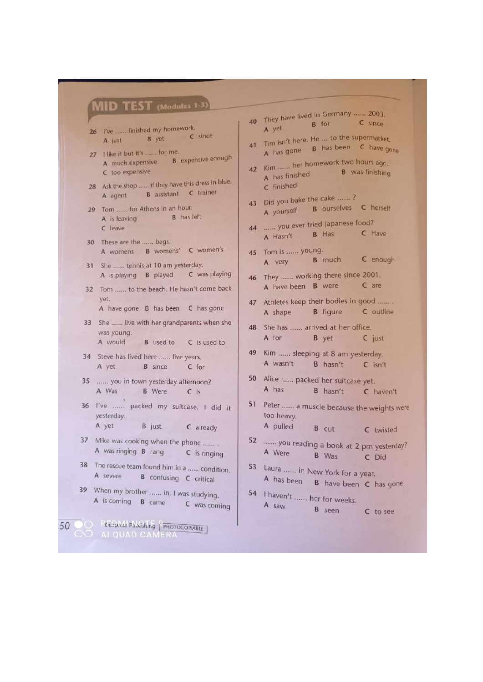## **MID TEST** (Modules 1-3

- 26 I've ...... finished my homework. C since **B** yet A just
- 27 I like it but it's ...... for me. A much expensive B expensive enough C too expensive
- 28 Ask the shop ...... if they have this dress in blue. B assistant C trainer A agent
- 29 Tom ...... for Athens in an hour. **B** has left A is leaving C leave
- 30 These are the ...... bags. A womens B womens' C women's
- 31 She ...... tennis at 10 am yesterday. C was playing A is playing **B** played
- 32 Tom ...... to the beach. He hasn't come back vet. A have gone B has been C has gone
- 33 She ...... live with her grandparents when she
- was young. A would **B** used to C is used to
- 34 Steve has lived here ...... five years. A yet **B** since C for
- 35 ...... you in town yesterday afternoon? A Was **B** Were  $C$  Is
- 36 I've ...... packed my suitcase. I did it yesterday.
	- A yet **B** just C already
- 37 Mike was cooking when the phone ....... A was ringing B rang C is ringing
- 38 The rescue team found him in a ...... condition. A severe B confusing C critical
- 39 When my brother ...... in, I was studying. A is coming B came C was coming
- 50 C REQUALS PUBLISHING PPHOTOCOPIABLE ER,
- 40 They have lived in Germany ...... 2003. **B** for C since A yet
- 41 Tim isn't here. He ... to the supermarket. A has gone **B** has been **C** have gone
- 42 Kim ...... her homework two hours ago. **B** was finishing A has finished C finished
- 43 Did you bake the cake ......? A yourself B ourselves C herself
- 44 ...... you ever tried Japanese food? **B** Has C Have A Hasn't
- 45 Tom is ...... young. C enough **B** much A very
- 46 They ...... working there since 2001. A have been B were C are
- 47 Athletes keep their bodies in good ....... **B** figure A shape C outline
- 48 She has ...... arrived at her office. A for **B** yet C just
- 49 Kim ...... sleeping at 8 am yesterday. A wasn't B hasn't  $C$  isn't
- 50 Alice ...... packed her suitcase yet. A has B hasn't C haven't
- 51 Peter ...... a muscle because the weights were too heavy.
	- A pulled **B** cut C twisted
- 52 ...... you reading a book at 2 pm yesterday? A Were B Was C Did
- 53 Laura ...... in New York for a year. A has been B have been C has gone
- 54 I haven't ...... her for weeks. A saw **B** seen C to see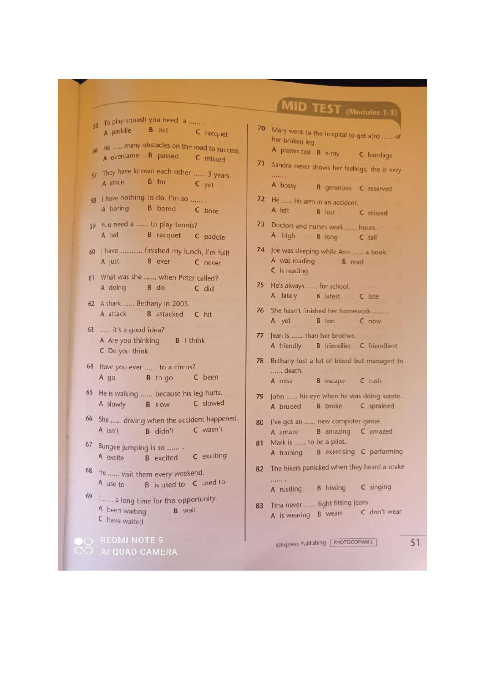- 55 To play squash you need a ...... A paddle **B** bat C racquet
- 56 He ...... many obstacles on the road to success. A overcame B passed C missed
- 57 They have known each other ...... 3 years. A since **B** for  $C$  yet
- 58 | have nothing to do. I'm so ...... **B** bored A boring C bore
- 59 You need a ...... to play tennis? A bat B racquet C paddle
- 60 I have .......... finished my lunch, I'm full! **B** ever A just C never
- 61 What was she ...... when Peter called? A doing B do C did
- 62 A shark ...... Bethany in 2003. A attack **B** attacked C hit
- 63 ...... it's a good idea? A Are you thinking **B** I think C Do you think
- 64 Have you ever ...... to a circus? **B** to go C been A go
- 65 He is walking ...... because his leg hurts. C slowed A slowly **B** slow
- 66 She ...... driving when the accident happened. C wasn't A isn't **B** didn't
- 67 Bungee jumping is so ....... C exciting A excite **B** excited
- 68 He ...... visit them every weekend. A use to B is used to C used to
- 69 | ...... a long time for this opportunity. A been waiting **B** wait C have waited

O REDMI NOTE 9 CO AI QUAD CAMERA

# MID TEST (Modules 1-3)

- 70 Mary went to the hospital to get a(n) ...... of her broken leg. A plaster cast B x-ray
	- C bandage
- 71 Sandra never shows her feelings; she is very  $\cdots$ A bossy
- **B** generous **C** reserved 72 He ...... his arm in an accident.
- A left **B** lost C missed
- 73 Doctors and nurses work ...... hours. A high B long C tall
- 74 Joe was sleeping while Ann ...... a book. A was reading B read  $C$  is reading
- 75 He's always ...... for school. A lately **B** latest C late
- 76 She hasn't finished her homework ....... A yet B too C now
- 77 Jean is ...... than her brother. A friendly **B** friendlier C friendliest
- 78 Bethany lost a lot of blood but managed to ...... death. **B** escape A miss C rush
- 79 John ...... his eye when he was doing karate. **B** broke C sprained A bruised
- 80 I've got an ...... new computer game. B amazing C amazed A amaze
- 81 Mark is ...... to be a pilot. A training **B** exercising C performing
- 82 The hikers panicked when they heard a snake . . . . . . . . . **B** hissing C singing A rustling
- 83 Tina never ...... tight fitting jeans. A is wearing B wears C don't wear

CExpress Publishing PHOTOCOPIABLE

51